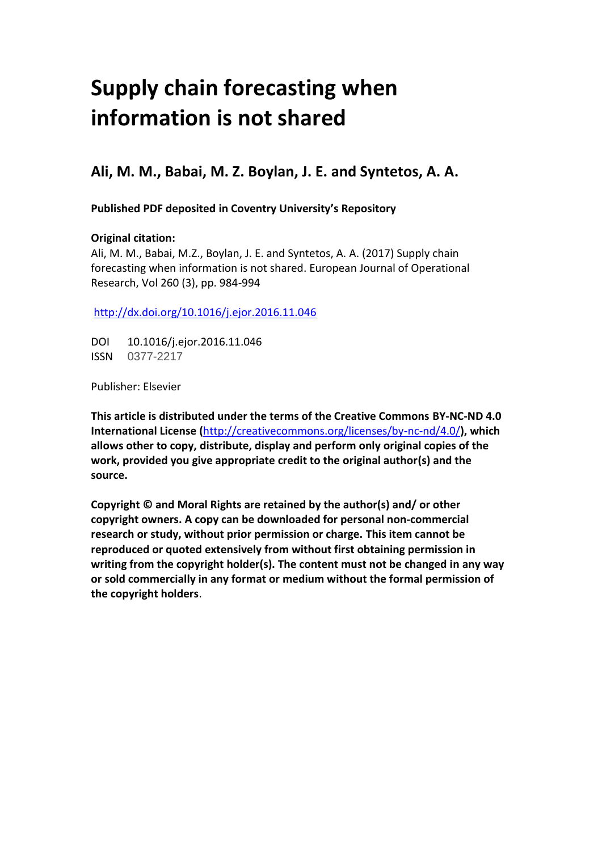# **Supply chain forecasting when information is not shared**

### **Ali, M. M., Babai, M. Z. Boylan, J. E. and Syntetos, A. A.**

**Published PDF deposited in Coventry University's Repository**

### **Original citation:**

Ali, M. M., Babai, M.Z., Boylan, J. E. and Syntetos, A. A. (2017) Supply chain forecasting when information is not shared. European Journal of Operational Research, Vol 260 (3), pp. 984-994

<http://dx.doi.org/10.1016/j.ejor.2016.11.046>

DOI [10.1016/j.ejor.2016.11.046](http://dx.doi.org/10.1016/j.ejor.2016.11.046) ISSN 0377-2217

Publisher: Elsevier

**This article is distributed under the terms of the Creative Commons BY-NC-ND 4.0 International License (**<http://creativecommons.org/licenses/by-nc-nd/4.0/>**), which allows other to copy, distribute, display and perform only original copies of the work, provided you give appropriate credit to the original author(s) and the source.**

**Copyright © and Moral Rights are retained by the author(s) and/ or other copyright owners. A copy can be downloaded for personal non-commercial research or study, without prior permission or charge. This item cannot be reproduced or quoted extensively from without first obtaining permission in writing from the copyright holder(s). The content must not be changed in any way or sold commercially in any format or medium without the formal permission of the copyright holders**.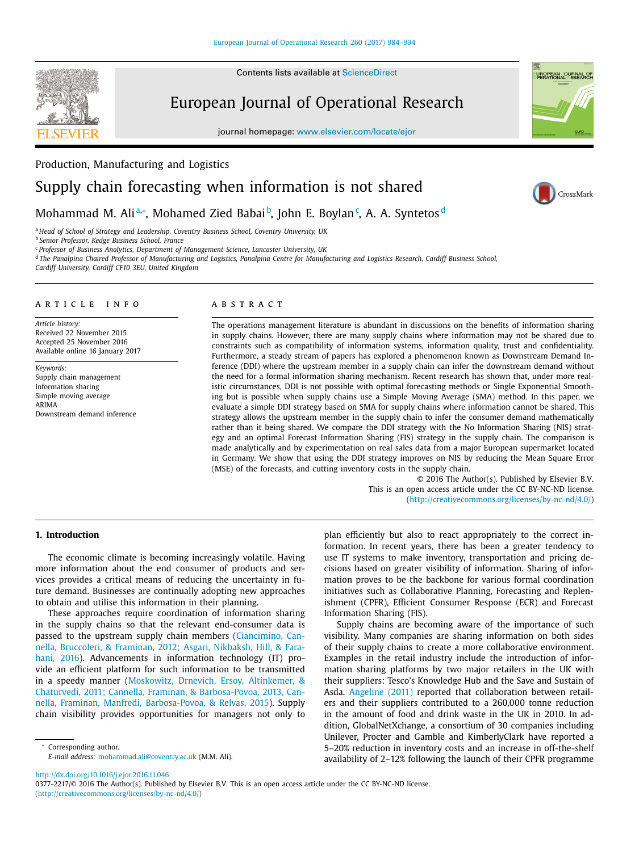Contents lists available at [ScienceDirect](http://www.ScienceDirect.com)

### European Journal of Operational Research

journal homepage: [www.elsevier.com/locate/ejor](http://www.elsevier.com/locate/ejor)

Production, Manufacturing and Logistics

## Supply chain forecasting when information is not shared

Mohammad M. Alia\*, Mohamed Zied Babaib, John E. Boylan<sup>c</sup>, A. A. Syntetos<sup>d</sup>

<sup>a</sup> *Head of School of Strategy and Leadership, Coventry Business School, Coventry University, UK*

<sup>b</sup> *Senior Professor, Kedge Business School, France* <sup>c</sup> *Professor of Business Analytics, Department of Management Science, Lancaster University, UK*

<sup>d</sup> The Panalpina Chaired Professor of Manufacturing and Logistics, Panalpina Centre for Manufacturing and Logistics Research, Cardiff Business School,

*Cardiff University, Cardiff CF10 3EU, United Kingdom*

#### a r t i c l e i n f o

*Article history:* Received 22 November 2015 Accepted 25 November 2016 Available online 16 January 2017

*Keywords:* Supply chain management Information sharing Simple moving average ARIMA Downstream demand inference

#### A B S T R A C T

The operations management literature is abundant in discussions on the benefits of information sharing in supply chains. However, there are many supply chains where information may not be shared due to constraints such as compatibility of information systems, information quality, trust and confidentiality. Furthermore, a steady stream of papers has explored a phenomenon known as Downstream Demand Inference (DDI) where the upstream member in a supply chain can infer the downstream demand without the need for a formal information sharing mechanism. Recent research has shown that, under more realistic circumstances, DDI is not possible with optimal forecasting methods or Single Exponential Smoothing but is possible when supply chains use a Simple Moving Average (SMA) method. In this paper, we evaluate a simple DDI strategy based on SMA for supply chains where information cannot be shared. This strategy allows the upstream member in the supply chain to infer the consumer demand mathematically rather than it being shared. We compare the DDI strategy with the No Information Sharing (NIS) strategy and an optimal Forecast Information Sharing (FIS) strategy in the supply chain. The comparison is made analytically and by experimentation on real sales data from a major European supermarket located in Germany. We show that using the DDI strategy improves on NIS by reducing the Mean Square Error (MSE) of the forecasts, and cutting inventory costs in the supply chain.

© 2016 The Author(s). Published by Elsevier B.V. This is an open access article under the CC BY-NC-ND license. [\(http://creativecommons.org/licenses/by-nc-nd/4.0/\)](http://creativecommons.org/licenses/by-nc-nd/4.0/)

#### **1. Introduction**

The economic climate is becoming increasingly volatile. Having more information about the end consumer of products and services provides a critical means of reducing the uncertainty in future demand. Businesses are continually adopting new approaches to obtain and utilise this information in their planning.

These approaches require coordination of information sharing in the supply chains so that the relevant end-consumer data is passed to the upstream supply chain members (Ciancimino, Cannella, Bruccoleri, & Framinan, 2012; Asgari, Nikbaksh, Hill, & Fara-hani, 2016). [Advancements](#page-11-0) in information technology (IT) provide an efficient platform for such information to be transmitted in a speedy manner (Moskowitz, Drnevich, Ersoy, Altinkemer, & Chaturvedi, 2011; Cannella, Framinan, & [Barbosa-Povoa,](#page-11-0) 2013, Cannella, Framinan, Manfredi, Barbosa-Povoa, & Relvas, 2015). Supply chain visibility provides opportunities for managers not only to

<sup>∗</sup> Corresponding author.

plan efficiently but also to react appropriately to the correct information. In recent years, there has been a greater tendency to use IT systems to make inventory, transportation and pricing decisions based on greater visibility of information. Sharing of information proves to be the backbone for various formal coordination initiatives such as Collaborative Planning, Forecasting and Replenishment (CPFR), Efficient Consumer Response (ECR) and Forecast Information Sharing (FIS).

Supply chains are becoming aware of the importance of such visibility. Many companies are sharing information on both sides of their supply chains to create a more collaborative environment. Examples in the retail industry include the introduction of information sharing platforms by two major retailers in the UK with their suppliers: Tesco's Knowledge Hub and the Save and Sustain of Asda. [Angeline](#page-10-0) (2011) reported that collaboration between retailers and their suppliers contributed to a 260,000 tonne reduction in the amount of food and drink waste in the UK in 2010. In addition, GlobalNetXchange, a consortium of 30 companies including Unilever, Procter and Gamble and KimberlyClark have reported a 5–20% reduction in inventory costs and an increase in off-the-shelf availability of 2–12% following the launch of their CPFR programme

<http://dx.doi.org/10.1016/j.ejor.2016.11.046>

0377-2217/© 2016 The Author(s). Published by Elsevier B.V. This is an open access article under the CC BY-NC-ND license. [\(http://creativecommons.org/licenses/by-nc-nd/4.0/\)](http://creativecommons.org/licenses/by-nc-nd/4.0/)





CrossMark

*E-mail address:* [mohammad.ali@coventry.ac.uk](mailto:mohammad.ali@coventry.ac.uk) (M.M. Ali).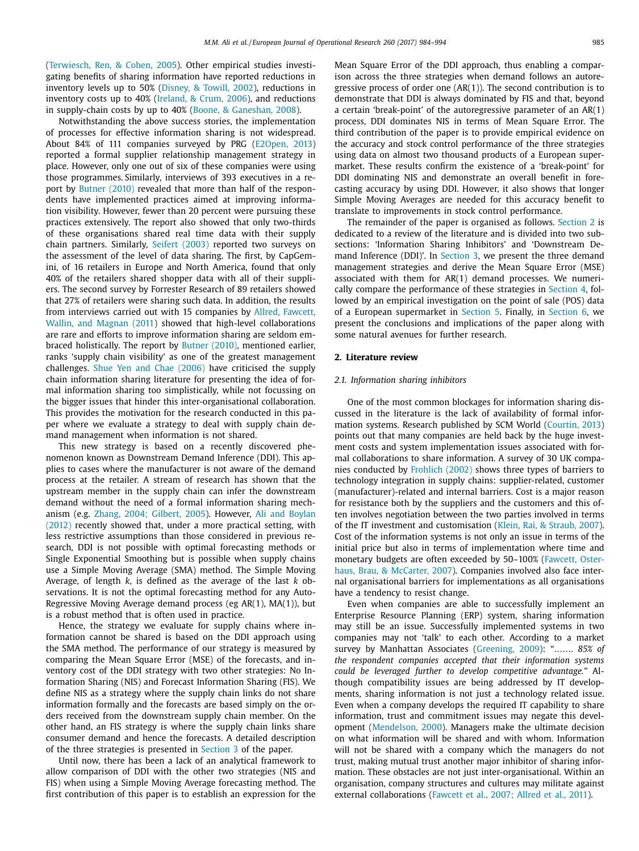<span id="page-2-0"></span>[\(Terwiesch,](#page-11-0) Ren, & Cohen, 2005). Other empirical studies investigating benefits of sharing information have reported reductions in inventory levels up to 50% [\(Disney,](#page-11-0) & Towill, 2002), reductions in inventory costs up to 40% [\(Ireland,](#page-11-0) & Crum, 2006), and reductions in supply-chain costs by up to 40% (Boone, & [Ganeshan,](#page-10-0) 2008).

Notwithstanding the above success stories, the implementation of processes for effective information sharing is not widespread. About 84% of 111 companies surveyed by PRG [\(E2Open,](#page-11-0) 2013) reported a formal supplier relationship management strategy in place. However, only one out of six of these companies were using those programmes. Similarly, interviews of 393 executives in a report by [Butner](#page-10-0) (2010) revealed that more than half of the respondents have implemented practices aimed at improving information visibility. However, fewer than 20 percent were pursuing these practices extensively. The report also showed that only two-thirds of these organisations shared real time data with their supply chain partners. Similarly, Seifert [\(2003\)](#page-11-0) reported two surveys on the assessment of the level of data sharing. The first, by CapGemini, of 16 retailers in Europe and North America, found that only 40% of the retailers shared shopper data with all of their suppliers. The second survey by Forrester Research of 89 retailers showed that 27% of retailers were sharing such data. In addition, the results from interviews carried out with 15 companies by Allred, Fawcett, Wallin, and Magnan (2011) showed that high-level [collaborations](#page-10-0) are rare and efforts to improve information sharing are seldom embraced holistically. The report by [Butner](#page-10-0) (2010), mentioned earlier, ranks 'supply chain visibility' as one of the greatest management challenges. Shue Yen and Chae [\(2006\)](#page-11-0) have criticised the supply chain information sharing literature for presenting the idea of formal information sharing too simplistically, while not focussing on the bigger issues that hinder this inter-organisational collaboration. This provides the motivation for the research conducted in this paper where we evaluate a strategy to deal with supply chain demand management when information is not shared.

This new strategy is based on a recently discovered phenomenon known as Downstream Demand Inference (DDI). This applies to cases where the manufacturer is not aware of the demand process at the retailer. A stream of research has shown that the upstream member in the supply chain can infer the downstream demand without the need of a formal information sharing mechanism (e.g. Zhang, 2004; [Gilbert,](#page-11-0) 2005). [However,](#page-10-0) Ali and Boylan (2012) recently showed that, under a more practical setting, with less restrictive assumptions than those considered in previous research, DDI is not possible with optimal forecasting methods or Single Exponential Smoothing but is possible when supply chains use a Simple Moving Average (SMA) method. The Simple Moving Average, of length *k*, is defined as the average of the last *k* observations. It is not the optimal forecasting method for any Auto-Regressive Moving Average demand process (eg AR(1), MA(1)), but is a robust method that is often used in practice.

Hence, the strategy we evaluate for supply chains where information cannot be shared is based on the DDI approach using the SMA method. The performance of our strategy is measured by comparing the Mean Square Error (MSE) of the forecasts, and inventory cost of the DDI strategy with two other strategies: No Information Sharing (NIS) and Forecast Information Sharing (FIS). We define NIS as a strategy where the supply chain links do not share information formally and the forecasts are based simply on the orders received from the downstream supply chain member. On the other hand, an FIS strategy is where the supply chain links share consumer demand and hence the forecasts. A detailed description of the three strategies is presented in [Section](#page-3-0) 3 of the paper.

Until now, there has been a lack of an analytical framework to allow comparison of DDI with the other two strategies (NIS and FIS) when using a Simple Moving Average forecasting method. The first contribution of this paper is to establish an expression for the Mean Square Error of the DDI approach, thus enabling a comparison across the three strategies when demand follows an autoregressive process of order one (AR(1)). The second contribution is to demonstrate that DDI is always dominated by FIS and that, beyond a certain 'break-point' of the autoregressive parameter of an AR(1) process, DDI dominates NIS in terms of Mean Square Error. The third contribution of the paper is to provide empirical evidence on the accuracy and stock control performance of the three strategies using data on almost two thousand products of a European supermarket. These results confirm the existence of a 'break-point' for DDI dominating NIS and demonstrate an overall benefit in forecasting accuracy by using DDI. However, it also shows that longer Simple Moving Averages are needed for this accuracy benefit to translate to improvements in stock control performance.

The remainder of the paper is organised as follows. Section 2 is dedicated to a review of the literature and is divided into two subsections: 'Information Sharing Inhibitors' and 'Downstream Demand Inference (DDI)'. In [Section](#page-3-0) 3, we present the three demand management strategies and derive the Mean Square Error (MSE) associated with them for AR(1) demand processes. We numerically compare the performance of these strategies in [Section](#page-5-0) 4, followed by an empirical investigation on the point of sale (POS) data of a European supermarket in [Section](#page-5-0) 5. Finally, in [Section](#page-8-0) 6, we present the conclusions and implications of the paper along with some natural avenues for further research.

#### **2. Literature review**

#### *2.1. Information sharing inhibitors*

One of the most common blockages for information sharing discussed in the literature is the lack of availability of formal information systems. Research published by SCM World [\(Courtin,](#page-11-0) 2013) points out that many companies are held back by the huge investment costs and system implementation issues associated with formal collaborations to share information. A survey of 30 UK companies conducted by [Frohlich](#page-11-0) (2002) shows three types of barriers to technology integration in supply chains: supplier-related, customer (manufacturer)-related and internal barriers. Cost is a major reason for resistance both by the suppliers and the customers and this often involves negotiation between the two parties involved in terms of the IT investment and customisation (Klein, Rai, & [Straub,](#page-11-0) 2007). Cost of the information systems is not only an issue in terms of the initial price but also in terms of implementation where time and monetary budgets are often exceeded by 50–100% (Fawcett, Osterhaus, Brau, & McCarter, 2007). [Companies](#page-11-0) involved also face internal organisational barriers for implementations as all organisations have a tendency to resist change.

Even when companies are able to successfully implement an Enterprise Resource Planning (ERP) system, sharing information may still be an issue. Successfully implemented systems in two companies may not 'talk' to each other. According to a market survey by Manhattan Associates [\(Greening,](#page-11-0) 2009): "*……. 85% of the respondent companies accepted that their information systems could be leveraged further to develop competitive advantage."* Although compatibility issues are being addressed by IT developments, sharing information is not just a technology related issue. Even when a company develops the required IT capability to share information, trust and commitment issues may negate this development [\(Mendelson,](#page-11-0) 2000). Managers make the ultimate decision on what information will be shared and with whom. Information will not be shared with a company which the managers do not trust, making mutual trust another major inhibitor of sharing information. These obstacles are not just inter-organisational. Within an organisation, company structures and cultures may militate against external collaborations [\(Fawcett](#page-11-0) et al., 2007; Allred et al., 2011).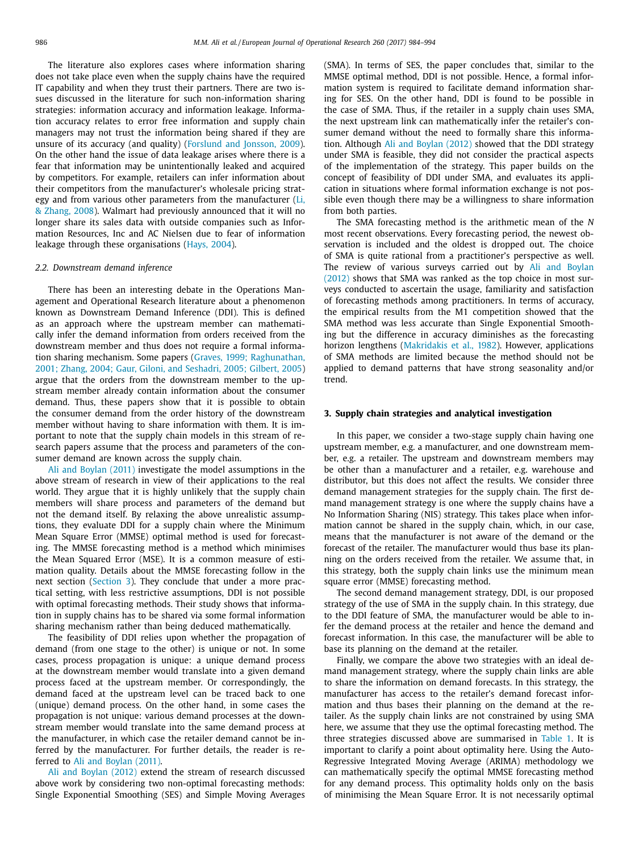<span id="page-3-0"></span>The literature also explores cases where information sharing does not take place even when the supply chains have the required IT capability and when they trust their partners. There are two issues discussed in the literature for such non-information sharing strategies: information accuracy and information leakage. Information accuracy relates to error free information and supply chain managers may not trust the information being shared if they are unsure of its accuracy (and quality) [\(Forslund](#page-11-0) and Jonsson, 2009). On the other hand the issue of data leakage arises where there is a fear that information may be unintentionally leaked and acquired by competitors. For example, retailers can infer information about their competitors from the manufacturer's wholesale pricing strategy and from various other parameters from the [manufacturer](#page-11-0) (Li, & Zhang, 2008). Walmart had previously announced that it will no longer share its sales data with outside companies such as Information Resources, Inc and AC Nielsen due to fear of information leakage through these organisations [\(Hays,](#page-11-0) 2004).

#### *2.2. Downstream demand inference*

There has been an interesting debate in the Operations Management and Operational Research literature about a phenomenon known as Downstream Demand Inference (DDI). This is defined as an approach where the upstream member can mathematically infer the demand information from orders received from the downstream member and thus does not require a formal information sharing mechanism. Some papers (Graves, 1999; [Raghunathan,](#page-11-0) 2001; Zhang, 2004; Gaur, Giloni, and Seshadri, 2005; Gilbert, 2005) argue that the orders from the downstream member to the upstream member already contain information about the consumer demand. Thus, these papers show that it is possible to obtain the consumer demand from the order history of the downstream member without having to share information with them. It is important to note that the supply chain models in this stream of research papers assume that the process and parameters of the consumer demand are known across the supply chain.

Ali and [Boylan](#page-10-0) (2011) investigate the model assumptions in the above stream of research in view of their applications to the real world. They argue that it is highly unlikely that the supply chain members will share process and parameters of the demand but not the demand itself. By relaxing the above unrealistic assumptions, they evaluate DDI for a supply chain where the Minimum Mean Square Error (MMSE) optimal method is used for forecasting. The MMSE forecasting method is a method which minimises the Mean Squared Error (MSE). It is a common measure of estimation quality. Details about the MMSE forecasting follow in the next section (Section 3). They conclude that under a more practical setting, with less restrictive assumptions, DDI is not possible with optimal forecasting methods. Their study shows that information in supply chains has to be shared via some formal information sharing mechanism rather than being deduced mathematically.

The feasibility of DDI relies upon whether the propagation of demand (from one stage to the other) is unique or not. In some cases, process propagation is unique: a unique demand process at the downstream member would translate into a given demand process faced at the upstream member. Or correspondingly, the demand faced at the upstream level can be traced back to one (unique) demand process. On the other hand, in some cases the propagation is not unique: various demand processes at the downstream member would translate into the same demand process at the manufacturer, in which case the retailer demand cannot be inferred by the manufacturer. For further details, the reader is referred to Ali and [Boylan](#page-10-0) (2011).

Ali and [Boylan](#page-10-0) (2012) extend the stream of research discussed above work by considering two non-optimal forecasting methods: Single Exponential Smoothing (SES) and Simple Moving Averages (SMA). In terms of SES, the paper concludes that, similar to the MMSE optimal method, DDI is not possible. Hence, a formal information system is required to facilitate demand information sharing for SES. On the other hand, DDI is found to be possible in the case of SMA. Thus, if the retailer in a supply chain uses SMA, the next upstream link can mathematically infer the retailer's consumer demand without the need to formally share this information. Although Ali and [Boylan](#page-10-0) (2012) showed that the DDI strategy under SMA is feasible, they did not consider the practical aspects of the implementation of the strategy. This paper builds on the concept of feasibility of DDI under SMA, and evaluates its application in situations where formal information exchange is not possible even though there may be a willingness to share information from both parties.

The SMA forecasting method is the arithmetic mean of the *N* most recent observations. Every forecasting period, the newest observation is included and the oldest is dropped out. The choice of SMA is quite rational from a practitioner's perspective as well. The review of various surveys carried out by Ali and Boylan (2012) shows that SMA [was ranked](#page-10-0) as the top choice in most surveys conducted to ascertain the usage, familiarity and satisfaction of forecasting methods among practitioners. In terms of accuracy, the empirical results from the M1 competition showed that the SMA method was less accurate than Single Exponential Smoothing but the difference in accuracy diminishes as the forecasting horizon lengthens [\(Makridakis](#page-11-0) et al., 1982). However, applications of SMA methods are limited because the method should not be applied to demand patterns that have strong seasonality and/or trend.

#### **3. Supply chain strategies and analytical investigation**

In this paper, we consider a two-stage supply chain having one upstream member, e.g. a manufacturer, and one downstream member, e.g. a retailer. The upstream and downstream members may be other than a manufacturer and a retailer, e.g. warehouse and distributor, but this does not affect the results. We consider three demand management strategies for the supply chain. The first demand management strategy is one where the supply chains have a No Information Sharing (NIS) strategy. This takes place when information cannot be shared in the supply chain, which, in our case, means that the manufacturer is not aware of the demand or the forecast of the retailer. The manufacturer would thus base its planning on the orders received from the retailer. We assume that, in this strategy, both the supply chain links use the minimum mean square error (MMSE) forecasting method.

The second demand management strategy, DDI, is our proposed strategy of the use of SMA in the supply chain. In this strategy, due to the DDI feature of SMA, the manufacturer would be able to infer the demand process at the retailer and hence the demand and forecast information. In this case, the manufacturer will be able to base its planning on the demand at the retailer.

Finally, we compare the above two strategies with an ideal demand management strategy, where the supply chain links are able to share the information on demand forecasts. In this strategy, the manufacturer has access to the retailer's demand forecast information and thus bases their planning on the demand at the retailer. As the supply chain links are not constrained by using SMA here, we assume that they use the optimal forecasting method. The three strategies discussed above are summarised in [Table](#page-4-0) 1. It is important to clarify a point about optimality here. Using the Auto-Regressive Integrated Moving Average (ARIMA) methodology we can mathematically specify the optimal MMSE forecasting method for any demand process. This optimality holds only on the basis of minimising the Mean Square Error. It is not necessarily optimal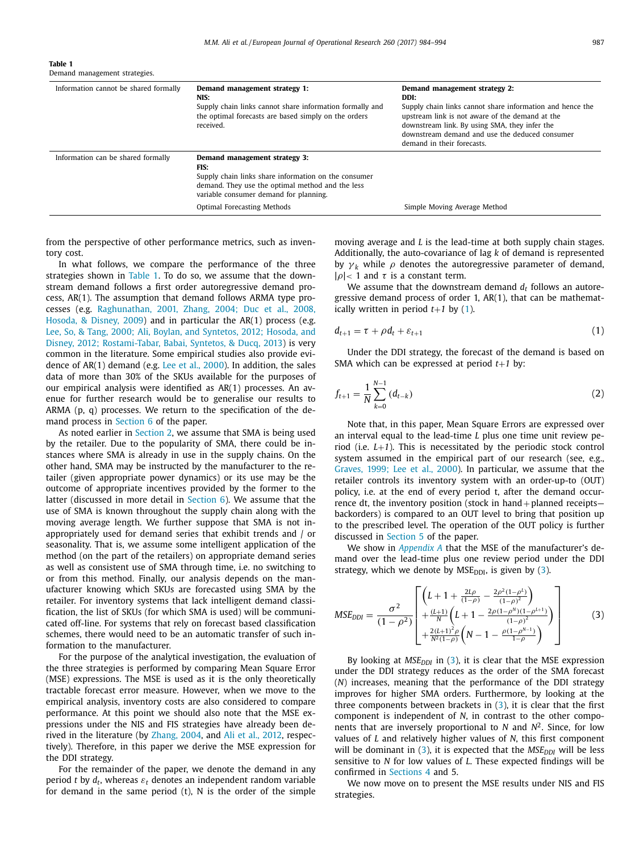<span id="page-4-0"></span>**Table 1** Demand management strategies.

| Information cannot be shared formally | Demand management strategy 1:<br>NIS:<br>Supply chain links cannot share information formally and<br>the optimal forecasts are based simply on the orders<br>received.                      | Demand management strategy 2:<br>DDI:<br>Supply chain links cannot share information and hence the<br>upstream link is not aware of the demand at the<br>downstream link. By using SMA, they infer the<br>downstream demand and use the deduced consumer<br>demand in their forecasts. |
|---------------------------------------|---------------------------------------------------------------------------------------------------------------------------------------------------------------------------------------------|----------------------------------------------------------------------------------------------------------------------------------------------------------------------------------------------------------------------------------------------------------------------------------------|
| Information can be shared formally    | Demand management strategy 3:<br>FIS:<br>Supply chain links share information on the consumer<br>demand. They use the optimal method and the less<br>variable consumer demand for planning. |                                                                                                                                                                                                                                                                                        |
|                                       | <b>Optimal Forecasting Methods</b>                                                                                                                                                          | Simple Moving Average Method                                                                                                                                                                                                                                                           |

from the perspective of other performance metrics, such as inventory cost.

In what follows, we compare the performance of the three strategies shown in Table 1. To do so, we assume that the downstream demand follows a first order autoregressive demand process, AR(1). The assumption that demand follows ARMA type processes (e.g. [Raghunathan,](#page-11-0) 2001, Zhang, 2004; Duc et al., 2008, Hosoda, & Disney, 2009) and in particular the AR(1) process (e.g. Lee, So, & Tang, 2000; Ali, Boylan, and Syntetos, 2012; Hosoda, and Disney, 2012; [Rostami-Tabar,](#page-11-0) Babai, Syntetos, & Ducq, 2013) is very common in the literature. Some empirical studies also provide evidence of AR(1) demand (e.g. Lee et al., [2000\)](#page-11-0). In addition, the sales data of more than 30% of the SKUs available for the purposes of our empirical analysis were identified as AR(1) processes. An avenue for further research would be to generalise our results to ARMA (p, q) processes. We return to the specification of the demand process in [Section](#page-8-0) 6 of the paper.

As noted earlier in [Section](#page-2-0) 2, we assume that SMA is being used by the retailer. Due to the popularity of SMA, there could be instances where SMA is already in use in the supply chains. On the other hand, SMA may be instructed by the manufacturer to the retailer (given appropriate power dynamics) or its use may be the outcome of appropriate incentives provided by the former to the latter (discussed in more detail in [Section](#page-8-0) 6). We assume that the use of SMA is known throughout the supply chain along with the moving average length. We further suppose that SMA is not inappropriately used for demand series that exhibit trends and / or seasonality. That is, we assume some intelligent application of the method (on the part of the retailers) on appropriate demand series as well as consistent use of SMA through time, i.e. no switching to or from this method. Finally, our analysis depends on the manufacturer knowing which SKUs are forecasted using SMA by the retailer. For inventory systems that lack intelligent demand classification, the list of SKUs (for which SMA is used) will be communicated off-line. For systems that rely on forecast based classification schemes, there would need to be an automatic transfer of such information to the manufacturer.

For the purpose of the analytical investigation, the evaluation of the three strategies is performed by comparing Mean Square Error (MSE) expressions. The MSE is used as it is the only theoretically tractable forecast error measure. However, when we move to the empirical analysis, inventory costs are also considered to compare performance. At this point we should also note that the MSE expressions under the NIS and FIS strategies have already been derived in the literature (by [Zhang,](#page-11-0) 2004, and Ali et al., [2012,](#page-10-0) respectively). Therefore, in this paper we derive the MSE expression for the DDI strategy.

For the remainder of the paper, we denote the demand in any period *t* by  $d_t$ , whereas  $\varepsilon_t$  denotes an independent random variable for demand in the same period (t), N is the order of the simple moving average and *L* is the lead-time at both supply chain stages. Additionally, the auto-covariance of lag *k* of demand is represented by  $\gamma_k$  while  $\rho$  denotes the autoregressive parameter of demand,  $|\rho|$  < 1 and  $\tau$  is a constant term.

We assume that the downstream demand  $d_t$  follows an autoregressive demand process of order 1, AR(1), that can be mathematically written in period  $t+1$  by (1).

$$
d_{t+1} = \tau + \rho d_t + \varepsilon_{t+1} \tag{1}
$$

Under the DDI strategy, the forecast of the demand is based on SMA which can be expressed at period *t*+*1* by:

$$
f_{t+1} = \frac{1}{N} \sum_{k=0}^{N-1} (d_{t-k})
$$
 (2)

Note that, in this paper, Mean Square Errors are expressed over an interval equal to the lead-time *L* plus one time unit review period (i.e. *L*+*1*). This is necessitated by the periodic stock control system assumed in the empirical part of our research (see, e.g., [Graves,](#page-11-0) 1999; Lee et al., 2000). In particular, we assume that the retailer controls its inventory system with an order-up-to (OUT) policy, i.e. at the end of every period t, after the demand occurrence dt, the inventory position (stock in hand + planned receipts backorders) is compared to an OUT level to bring that position up to the prescribed level. The operation of the OUT policy is further discussed in [Section](#page-5-0) 5 of the paper.

We show in *[Appendix](#page-9-0) A* that the MSE of the manufacturer's demand over the lead-time plus one review period under the DDI strategy, which we denote by  $MSE<sub>DDI</sub>$ , is given by (3).

$$
MSE_{DDI} = \frac{\sigma^2}{(1-\rho^2)} \left[ \frac{\left(L + 1 + \frac{2L\rho}{(1-\rho)} - \frac{2\rho^2(1-\rho^L)}{(1-\rho)^2}\right)}{\left(1 + \frac{L(1+1)}{N}\left(L + 1 - \frac{2\rho(1-\rho^N)(1-\rho^{L+1})}{(1-\rho)^2}\right)}\right] + \frac{2(L+1)^2\rho}{N^2(1-\rho)} \left(N - 1 - \frac{\rho(1-\rho^{N-1})}{1-\rho}\right)} \right]
$$
(3)

By looking at  $MSE<sub>DDI</sub>$  in (3), it is clear that the MSE expression under the DDI strategy reduces as the order of the SMA forecast (*N*) increases, meaning that the performance of the DDI strategy improves for higher SMA orders. Furthermore, by looking at the three components between brackets in  $(3)$ , it is clear that the first component is independent of *N*, in contrast to the other components that are inversely proportional to *N* and *N*2. Since, for low values of *L* and relatively higher values of *N*, this first component will be dominant in  $(3)$ , it is expected that the  $MSE<sub>DDI</sub>$  will be less sensitive to *N* for low values of *L*. These expected findings will be confirmed in [Sections](#page-5-0) 4 and 5.

We now move on to present the MSE results under NIS and FIS strategies.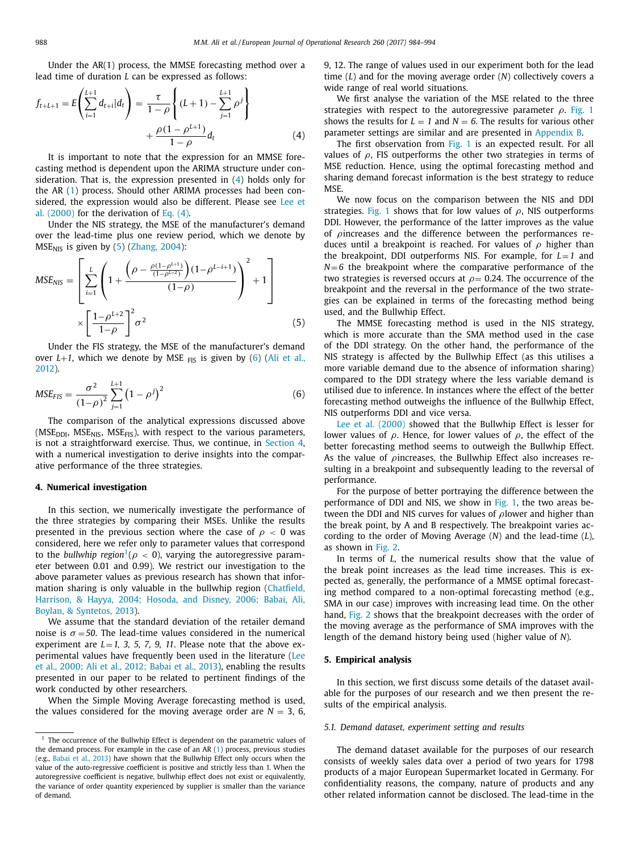<span id="page-5-0"></span>Under the AR(1) process, the MMSE forecasting method over a lead time of duration *L* can be expressed as follows:

$$
f_{t+l+1} = E\left(\sum_{i=1}^{l+1} d_{t+i}|d_t\right) = \frac{\tau}{1-\rho} \left\{ (l+1) - \sum_{j=1}^{l+1} \rho^j \right\} + \frac{\rho(1-\rho^{l+1})}{1-\rho} d_t \tag{4}
$$

It is important to note that the expression for an MMSE forecasting method is dependent upon the ARIMA structure under consideration. That is, the expression presented in (4) holds only for the AR [\(1\)](#page-4-0) process. Should other ARIMA processes had been considered, the [expression](#page-11-0) would also be different. Please see Lee et al. (2000) for the derivation of Eq. (4).

Under the NIS strategy, the MSE of the manufacturer's demand over the lead-time plus one review period, which we denote by  $MSE<sub>NIS</sub>$  is given by (5) [\(Zhang,](#page-11-0) 2004):

$$
MSE_{NIS} = \left[ \sum_{i=1}^{L} \left( 1 + \frac{\left( \rho - \frac{\rho(1-\rho^{L+1})}{(1-\rho^{L+2})} \right) (1-\rho^{L-i+1})}{(1-\rho)} \right)^2 + 1 \right] \times \left[ \frac{1-\rho^{L+2}}{1-\rho} \right]^2 \sigma^2 \tag{5}
$$

Under the FIS strategy, the MSE of the manufacturer's demand over  $L+1$ , which we [denote](#page-10-0) by MSE  $_{FIS}$  is given by (6) (Ali et al., 2012).

$$
MSE_{FIS} = \frac{\sigma^2}{(1-\rho)^2} \sum_{j=1}^{L+1} (1-\rho^j)^2
$$
 (6)

The comparison of the analytical expressions discussed above ( $MSE<sub>DDI</sub>$ ,  $MSE<sub>NIS</sub>$ ,  $MSE<sub>FIS</sub>$ ), with respect to the various parameters, is not a straightforward exercise. Thus, we continue, in Section 4, with a numerical investigation to derive insights into the comparative performance of the three strategies.

#### **4. Numerical investigation**

In this section, we numerically investigate the performance of the three strategies by comparing their MSEs. Unlike the results presented in the previous section where the case of  $\rho < 0$  was considered, here we refer only to parameter values that correspond to the *bullwhip*  $region^1(\rho < 0)$ , varying the autoregressive parameter between 0.01 and 0.99). We restrict our investigation to the above parameter values as previous research has shown that information sharing is only valuable in the bullwhip region [\(Chatfield,](#page-11-0) Harrison, & Hayya, 2004; Hosoda, and Disney, 2006; Babai, Ali, Boylan, & Syntetos, 2013).

We assume that the standard deviation of the retailer demand noise is  $\sigma = 50$ . The lead-time values considered in the numerical experiment are  $L=1$ , 3, 5, 7, 9, 11. Please note that the above ex[perimental](#page-11-0) values have frequently been used in the literature (Lee et al., 2000; Ali et al., 2012; Babai et al., 2013), enabling the results presented in our paper to be related to pertinent findings of the work conducted by other researchers.

When the Simple Moving Average forecasting method is used, the values considered for the moving average order are  $N = 3, 6$ , 9, 12. The range of values used in our experiment both for the lead time (*L*) and for the moving average order (*N*) collectively covers a wide range of real world situations.

We first analyse the variation of the MSE related to the three strategies with respect to the autoregressive parameter  $\rho$ . [Fig.](#page-6-0) 1 shows the results for  $L = 1$  and  $N = 6$ . The results for various other parameter settings are similar and are presented in [Appendix](#page-10-0) B.

The first observation from [Fig.](#page-6-0) 1 is an expected result. For all values of  $\rho$ , FIS outperforms the other two strategies in terms of MSE reduction. Hence, using the optimal forecasting method and sharing demand forecast information is the best strategy to reduce MSE.

We now focus on the comparison between the NIS and DDI strategies. [Fig.](#page-6-0) 1 shows that for low values of  $\rho$ , NIS outperforms DDI. However, the performance of the latter improves as the value of ρincreases and the difference between the performances reduces until a breakpoint is reached. For values of  $\rho$  higher than the breakpoint, DDI outperforms NIS. For example, for *L*=*1* and *N*=*6* the breakpoint where the comparative performance of the two strategies is reversed occurs at  $\rho = 0.24$ . The occurrence of the breakpoint and the reversal in the performance of the two strategies can be explained in terms of the forecasting method being used, and the Bullwhip Effect.

The MMSE forecasting method is used in the NIS strategy, which is more accurate than the SMA method used in the case of the DDI strategy. On the other hand, the performance of the NIS strategy is affected by the Bullwhip Effect (as this utilises a more variable demand due to the absence of information sharing) compared to the DDI strategy where the less variable demand is utilised due to inference. In instances where the effect of the better forecasting method outweighs the influence of the Bullwhip Effect, NIS outperforms DDI and vice versa.

Lee et al. [\(2000\)](#page-11-0) showed that the Bullwhip Effect is lesser for lower values of  $\rho$ . Hence, for lower values of  $\rho$ , the effect of the better forecasting method seems to outweigh the Bullwhip Effect. As the value of  $\rho$  increases, the Bullwhip Effect also increases resulting in a breakpoint and subsequently leading to the reversal of performance.

For the purpose of better portraying the difference between the performance of DDI and NIS, we show in [Fig.](#page-6-0) 1, the two areas between the DDI and NIS curves for values of ρlower and higher than the break point, by A and B respectively. The breakpoint varies according to the order of Moving Average (*N*) and the lead-time (*L*), as shown in [Fig.](#page-6-0) 2.

In terms of *L*, the numerical results show that the value of the break point increases as the lead time increases. This is expected as, generally, the performance of a MMSE optimal forecasting method compared to a non-optimal forecasting method (e.g., SMA in our case) improves with increasing lead time. On the other hand, [Fig.](#page-6-0) 2 shows that the breakpoint decreases with the order of the moving average as the performance of SMA improves with the length of the demand history being used (higher value of *N*).

#### **5. Empirical analysis**

In this section, we first discuss some details of the dataset available for the purposes of our research and we then present the results of the empirical analysis.

#### *5.1. Demand dataset, experiment setting and results*

The demand dataset available for the purposes of our research consists of weekly sales data over a period of two years for 1798 products of a major European Supermarket located in Germany. For confidentiality reasons, the company, nature of products and any other related information cannot be disclosed. The lead-time in the

 $1$  The occurrence of the Bullwhip Effect is dependent on the parametric values of the demand process. For example in the case of an AR [\(1\)](#page-4-0) process, previous studies (e.g., [Babai](#page-10-0) et al., 2013) have shown that the Bullwhip Effect only occurs when the value of the auto-regressive coefficient is positive and strictly less than 1. When the autoregressive coefficient is negative, bullwhip effect does not exist or equivalently, the variance of order quantity experienced by supplier is smaller than the variance of demand.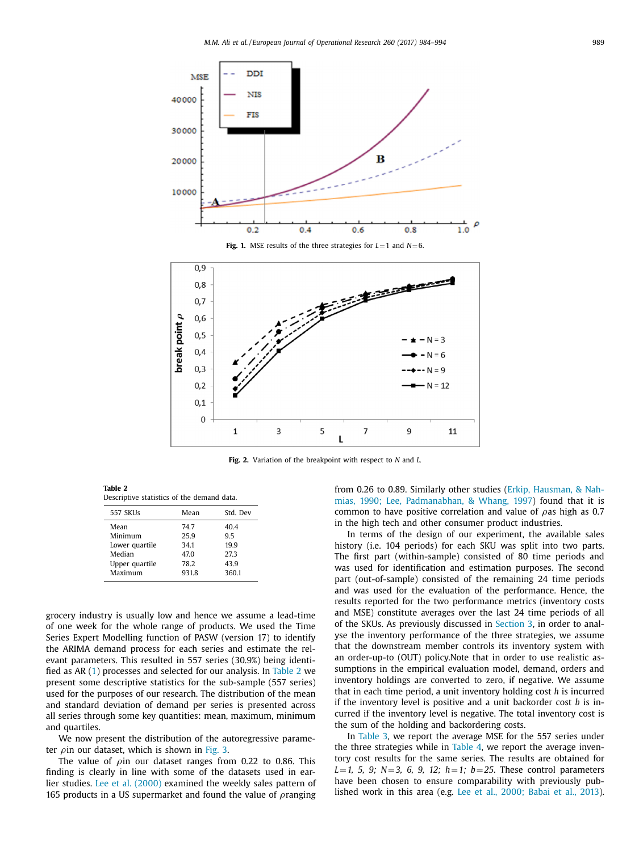<span id="page-6-0"></span>

**Fig. 2.** Variation of the breakpoint with respect to *N* and *L.*

**Table 2** Descriptive statistics of the demand data

| 557 SKUs       | Mean            | Std. Dev |
|----------------|-----------------|----------|
| Mean           | 747             | 40.4     |
| Minimum        | 25.9            | 9.5      |
| Lower quartile | 34.1            | 199      |
| Median         | 47 <sub>0</sub> | 273      |
| Upper quartile | 78.2            | 43.9     |
| Maximum        | 931.8           | 360.1    |

grocery industry is usually low and hence we assume a lead-time of one week for the whole range of products. We used the Time Series Expert Modelling function of PASW (version 17) to identify the ARIMA demand process for each series and estimate the relevant parameters. This resulted in 557 series (30.9%) being identified as AR [\(1\)](#page-4-0) processes and selected for our analysis. In Table 2 we present some descriptive statistics for the sub-sample (557 series) used for the purposes of our research. The distribution of the mean and standard deviation of demand per series is presented across all series through some key quantities: mean, maximum, minimum and quartiles.

We now present the distribution of the autoregressive parameter  $\rho$ in our dataset, which is shown in [Fig.](#page-7-0) 3.

The value of  $\rho$ in our dataset ranges from 0.22 to 0.86. This finding is clearly in line with some of the datasets used in earlier studies. Lee et al. [\(2000\)](#page-11-0) examined the weekly sales pattern of 165 products in a US supermarket and found the value of  $\rho$ ranging from 0.26 to 0.89. Similarly other studies (Erkip, Hausman, & Nahmias, 1990; Lee, [Padmanabhan,](#page-11-0) & Whang, 1997) found that it is common to have positive correlation and value of  $\rho$  as high as 0.7 in the high tech and other consumer product industries.

In terms of the design of our experiment, the available sales history (i.e. 104 periods) for each SKU was split into two parts. The first part (within-sample) consisted of 80 time periods and was used for identification and estimation purposes. The second part (out-of-sample) consisted of the remaining 24 time periods and was used for the evaluation of the performance. Hence, the results reported for the two performance metrics (inventory costs and MSE) constitute averages over the last 24 time periods of all of the SKUs. As previously discussed in [Section](#page-3-0) 3, in order to analyse the inventory performance of the three strategies, we assume that the downstream member controls its inventory system with an order-up-to (OUT) policy.Note that in order to use realistic assumptions in the empirical evaluation model, demand, orders and inventory holdings are converted to zero, if negative. We assume that in each time period, a unit inventory holding cost *h* is incurred if the inventory level is positive and a unit backorder cost *b* is incurred if the inventory level is negative. The total inventory cost is the sum of the holding and backordering costs.

In [Table](#page-7-0) 3, we report the average MSE for the 557 series under the three strategies while in [Table](#page-7-0) 4, we report the average inventory cost results for the same series. The results are obtained for *L*=*1, 5, 9; N*=*3, 6, 9, 12; h*=*1; b*=*25*. These control parameters have been chosen to ensure comparability with previously published work in this area (e.g. Lee et al., [2000;](#page-11-0) Babai et al., 2013).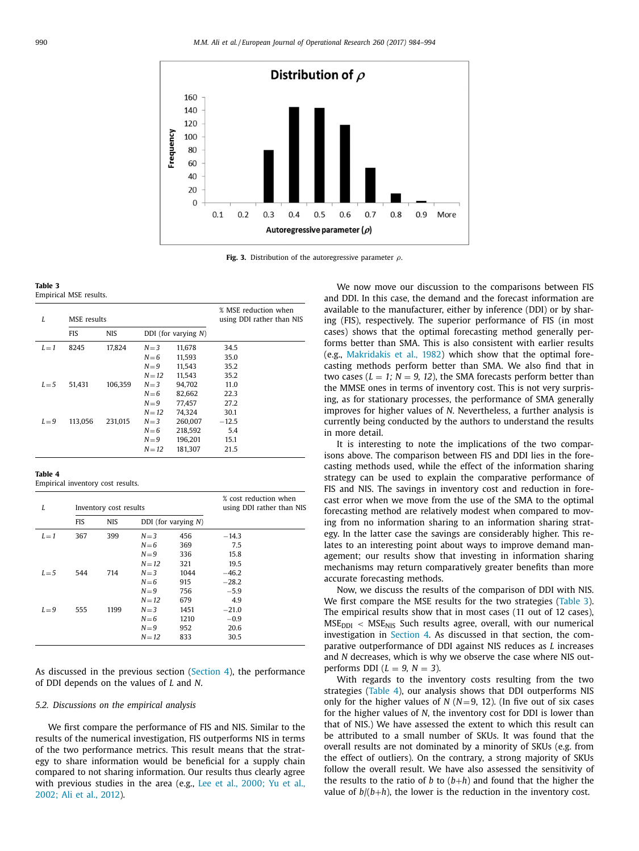<span id="page-7-0"></span>

**Fig. 3.** Distribution of the autoregressive parameter  $\rho$ .

#### **Table 3** Empirical MSE results.

| L       | MSE results |            | % MSE reduction when<br>using DDI rather than NIS |         |         |  |
|---------|-------------|------------|---------------------------------------------------|---------|---------|--|
|         | <b>FIS</b>  | <b>NIS</b> | DDI (for varying $N$ )                            |         |         |  |
| $L = 1$ | 8245        | 17.824     | $N=3$                                             | 11.678  | 34.5    |  |
|         |             |            | $N=6$                                             | 11,593  | 35.0    |  |
|         |             |            | $N = 9$                                           | 11,543  | 35.2    |  |
|         |             |            | $N = 12$                                          | 11,543  | 35.2    |  |
| $L = 5$ | 51.431      | 106.359    | $N=3$                                             | 94.702  | 11.0    |  |
|         |             |            | $N = 6$                                           | 82.662  | 22.3    |  |
|         |             |            | $N = 9$                                           | 77.457  | 27.2    |  |
|         |             |            | $N = 12$                                          | 74.324  | 30.1    |  |
| $L = 9$ | 113.056     | 231.015    | $N=3$                                             | 260,007 | $-12.5$ |  |
|         |             |            | $N=6$                                             | 218,592 | 5.4     |  |
|         |             |            | $N = 9$                                           | 196.201 | 15.1    |  |
|         |             |            | $N = 12$                                          | 181,307 | 21.5    |  |

**Table 4**

Empirical inventory cost results.

| L       | Inventory cost results |            |                                         |                            | % cost reduction when<br>using DDI rather than NIS |  |
|---------|------------------------|------------|-----------------------------------------|----------------------------|----------------------------------------------------|--|
|         | <b>FIS</b>             | <b>NIS</b> | DDI (for varying $N$ )                  |                            |                                                    |  |
| $L = 1$ | 367                    | 399        | $N = 3$<br>$N=6$<br>$N = 9$<br>$N = 12$ | 456<br>369<br>336<br>321   | $-14.3$<br>7.5<br>15.8<br>19.5                     |  |
| $l = 5$ | 544                    | 714        | $N=3$<br>$N=6$<br>$N=9$<br>$N = 12$     | 1044<br>915<br>756<br>679  | $-46.2$<br>$-28.2$<br>$-5.9$<br>4.9                |  |
| $L = 9$ | 555                    | 1199       | $N=3$<br>$N=6$<br>$N=9$<br>$N = 12$     | 1451<br>1210<br>952<br>833 | $-21.0$<br>$-0.9$<br>20.6<br>30.5                  |  |

As discussed in the previous section [\(Section](#page-5-0) 4), the performance of DDI depends on the values of *L* and *N*.

#### *5.2. Discussions on the empirical analysis*

We first compare the performance of FIS and NIS. Similar to the results of the numerical investigation, FIS outperforms NIS in terms of the two performance metrics. This result means that the strategy to share information would be beneficial for a supply chain compared to not sharing information. Our results thus clearly agree with [previous](#page-11-0) studies in the area (e.g., Lee et al., 2000; Yu et al., 2002; Ali et al., 2012).

We now move our discussion to the comparisons between FIS and DDI. In this case, the demand and the forecast information are available to the manufacturer, either by inference (DDI) or by sharing (FIS), respectively. The superior performance of FIS (in most cases) shows that the optimal forecasting method generally performs better than SMA. This is also consistent with earlier results (e.g., [Makridakis](#page-11-0) et al., 1982) which show that the optimal forecasting methods perform better than SMA. We also find that in two cases  $(L = 1; N = 9, 12)$ , the SMA forecasts perform better than the MMSE ones in terms of inventory cost. This is not very surprising, as for stationary processes, the performance of SMA generally improves for higher values of *N*. Nevertheless, a further analysis is currently being conducted by the authors to understand the results in more detail.

It is interesting to note the implications of the two comparisons above. The comparison between FIS and DDI lies in the forecasting methods used, while the effect of the information sharing strategy can be used to explain the comparative performance of FIS and NIS. The savings in inventory cost and reduction in forecast error when we move from the use of the SMA to the optimal forecasting method are relatively modest when compared to moving from no information sharing to an information sharing strategy. In the latter case the savings are considerably higher. This relates to an interesting point about ways to improve demand management; our results show that investing in information sharing mechanisms may return comparatively greater benefits than more accurate forecasting methods.

Now, we discuss the results of the comparison of DDI with NIS. We first compare the MSE results for the two strategies (Table 3). The empirical results show that in most cases (11 out of 12 cases),  $MSE<sub>DDI</sub>$  <  $MSE<sub>NIS</sub>$  Such results agree, overall, with our numerical investigation in [Section](#page-5-0) 4. As discussed in that section, the comparative outperformance of DDI against NIS reduces as *L* increases and *N* decreases, which is why we observe the case where NIS outperforms DDI  $(L = 9, N = 3)$ .

With regards to the inventory costs resulting from the two strategies (Table 4), our analysis shows that DDI outperforms NIS only for the higher values of  $N(N=9, 12)$ . (In five out of six cases for the higher values of *N*, the inventory cost for DDI is lower than that of NIS.) We have assessed the extent to which this result can be attributed to a small number of SKUs. It was found that the overall results are not dominated by a minority of SKUs (e.g. from the effect of outliers). On the contrary, a strong majority of SKUs follow the overall result. We have also assessed the sensitivity of the results to the ratio of *b* to  $(b+h)$  and found that the higher the value of  $b/(b+h)$ , the lower is the reduction in the inventory cost.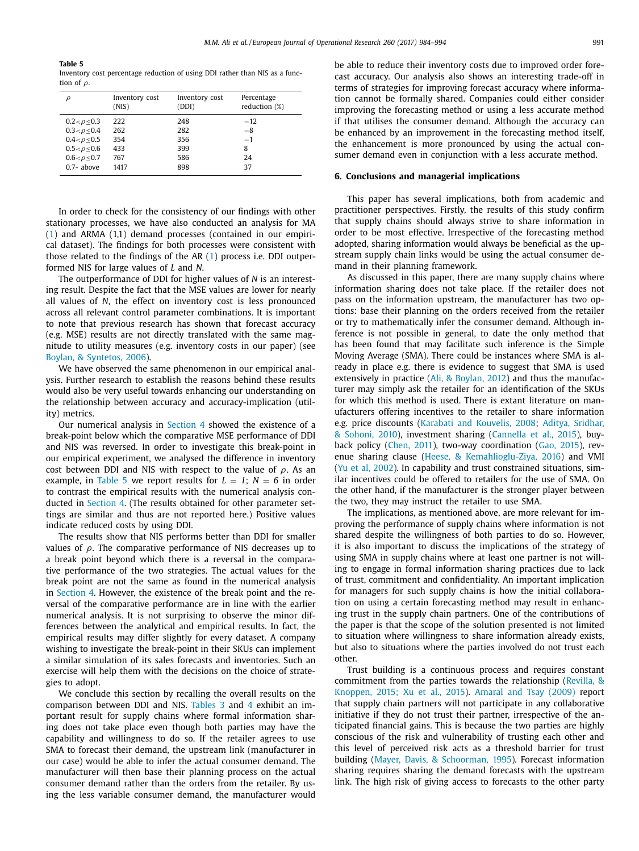#### <span id="page-8-0"></span>**Table 5**

Inventory cost percentage reduction of using DDI rather than NIS as a function of ρ.

| ρ                  | Inventory cost<br>(NIS) | Inventory cost<br>(DDI) | Percentage<br>reduction (%) |
|--------------------|-------------------------|-------------------------|-----------------------------|
| $0.2 < \rho < 0.3$ | 222                     | 248                     | $-12$                       |
| $0.3 < \rho < 0.4$ | 262                     | 282                     | $-8$                        |
| $0.4 < \rho < 0.5$ | 354                     | 356                     | $-1$                        |
| $0.5 < \rho < 0.6$ | 433                     | 399                     | 8                           |
| $0.6 < \rho < 0.7$ | 767                     | 586                     | 24                          |
| $0.7-$ above       | 1417                    | 898                     | 37                          |

In order to check for the consistency of our findings with other stationary processes, we have also conducted an analysis for MA [\(1\)](#page-4-0) and ARMA (1,1) demand processes (contained in our empirical dataset). The findings for both processes were consistent with those related to the findings of the AR [\(1\)](#page-4-0) process i.e. DDI outperformed NIS for large values of *L* and *N*.

The outperformance of DDI for higher values of *N* is an interesting result. Despite the fact that the MSE values are lower for nearly all values of *N*, the effect on inventory cost is less pronounced across all relevant control parameter combinations. It is important to note that previous research has shown that forecast accuracy (e.g. MSE) results are not directly translated with the same magnitude to utility measures (e.g. inventory costs in our paper) (see Boylan, & [Syntetos,](#page-10-0) 2006).

We have observed the same phenomenon in our empirical analysis. Further research to establish the reasons behind these results would also be very useful towards enhancing our understanding on the relationship between accuracy and accuracy-implication (utility) metrics.

Our numerical analysis in [Section](#page-5-0) 4 showed the existence of a break-point below which the comparative MSE performance of DDI and NIS was reversed. In order to investigate this break-point in our empirical experiment, we analysed the difference in inventory cost between DDI and NIS with respect to the value of  $\rho$ . As an example, in Table 5 we report results for  $L = 1$ ;  $N = 6$  in order to contrast the empirical results with the numerical analysis conducted in [Section](#page-5-0) 4. (The results obtained for other parameter settings are similar and thus are not reported here.) Positive values indicate reduced costs by using DDI.

The results show that NIS performs better than DDI for smaller values of  $\rho$ . The comparative performance of NIS decreases up to a break point beyond which there is a reversal in the comparative performance of the two strategies. The actual values for the break point are not the same as found in the numerical analysis in [Section](#page-5-0) 4. However, the existence of the break point and the reversal of the comparative performance are in line with the earlier numerical analysis. It is not surprising to observe the minor differences between the analytical and empirical results. In fact, the empirical results may differ slightly for every dataset. A company wishing to investigate the break-point in their SKUs can implement a similar simulation of its sales forecasts and inventories. Such an exercise will help them with the decisions on the choice of strategies to adopt.

We conclude this section by recalling the overall results on the comparison between DDI and NIS. [Tables](#page-7-0) 3 and [4](#page-7-0) exhibit an important result for supply chains where formal information sharing does not take place even though both parties may have the capability and willingness to do so. If the retailer agrees to use SMA to forecast their demand, the upstream link (manufacturer in our case) would be able to infer the actual consumer demand. The manufacturer will then base their planning process on the actual consumer demand rather than the orders from the retailer. By using the less variable consumer demand, the manufacturer would

be able to reduce their inventory costs due to improved order forecast accuracy. Our analysis also shows an interesting trade-off in terms of strategies for improving forecast accuracy where information cannot be formally shared. Companies could either consider improving the forecasting method or using a less accurate method if that utilises the consumer demand. Although the accuracy can be enhanced by an improvement in the forecasting method itself, the enhancement is more pronounced by using the actual consumer demand even in conjunction with a less accurate method.

#### **6. Conclusions and managerial implications**

This paper has several implications, both from academic and practitioner perspectives. Firstly, the results of this study confirm that supply chains should always strive to share information in order to be most effective. Irrespective of the forecasting method adopted, sharing information would always be beneficial as the upstream supply chain links would be using the actual consumer demand in their planning framework.

As discussed in this paper, there are many supply chains where information sharing does not take place. If the retailer does not pass on the information upstream, the manufacturer has two options: base their planning on the orders received from the retailer or try to mathematically infer the consumer demand. Although inference is not possible in general, to date the only method that has been found that may facilitate such inference is the Simple Moving Average (SMA). There could be instances where SMA is already in place e.g. there is evidence to suggest that SMA is used extensively in practice (Ali, & [Boylan,](#page-10-0) 2012) and thus the manufacturer may simply ask the retailer for an identification of the SKUs for which this method is used. There is extant literature on manufacturers offering incentives to the retailer to share information e.g. price discounts (Karabati and [Kouvelis,](#page-11-0) 2008; Aditya, Sridhar, & Sohoni, 2010), [investment](#page-10-0) sharing [\(Cannella](#page-11-0) et al., 2015), buyback policy [\(Chen,](#page-11-0) 2011), two-way coordination (Gao, [2015\)](#page-11-0), revenue sharing clause (Heese, & [Kemahlioglu-Ziya,](#page-11-0) 2016) and VMI (Yu et al, [2002\)](#page-11-0). In capability and trust constrained situations, similar incentives could be offered to retailers for the use of SMA. On the other hand, if the manufacturer is the stronger player between the two, they may instruct the retailer to use SMA.

The implications, as mentioned above, are more relevant for improving the performance of supply chains where information is not shared despite the willingness of both parties to do so. However, it is also important to discuss the implications of the strategy of using SMA in supply chains where at least one partner is not willing to engage in formal information sharing practices due to lack of trust, commitment and confidentiality. An important implication for managers for such supply chains is how the initial collaboration on using a certain forecasting method may result in enhancing trust in the supply chain partners. One of the contributions of the paper is that the scope of the solution presented is not limited to situation where willingness to share information already exists, but also to situations where the parties involved do not trust each other.

Trust building is a continuous process and requires constant [commitment](#page-11-0) from the parties towards the relationship (Revilla, & Knoppen, 2015; Xu et al., 2015). [Amaral](#page-10-0) and Tsay (2009) report that supply chain partners will not participate in any collaborative initiative if they do not trust their partner, irrespective of the anticipated financial gains. This is because the two parties are highly conscious of the risk and vulnerability of trusting each other and this level of perceived risk acts as a threshold barrier for trust building (Mayer, Davis, & [Schoorman,](#page-11-0) 1995). Forecast information sharing requires sharing the demand forecasts with the upstream link. The high risk of giving access to forecasts to the other party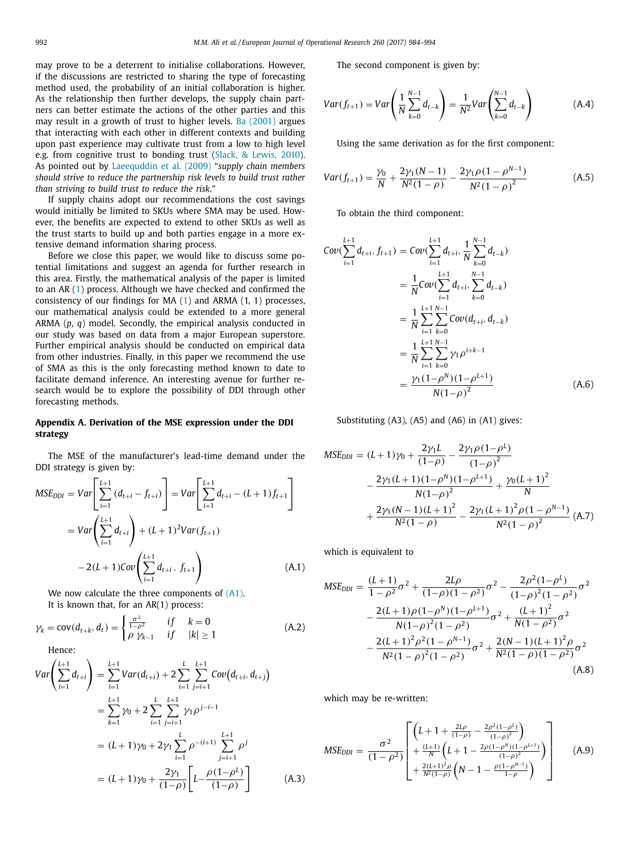<span id="page-9-0"></span>may prove to be a deterrent to initialise collaborations. However, if the discussions are restricted to sharing the type of forecasting method used, the probability of an initial collaboration is higher. As the relationship then further develops, the supply chain partners can better estimate the actions of the other parties and this may result in a growth of trust to higher levels. Ba [\(2001\)](#page-10-0) argues that interacting with each other in different contexts and building upon past experience may cultivate trust from a low to high level e.g. from cognitive trust to bonding trust (Slack, & [Lewis,](#page-11-0) 2010). As pointed out by [Laeequddin](#page-11-0) et al. (2009) "*supply chain members should strive to reduce the partnership risk levels to build trust rather than striving to build trust to reduce the risk*."

If supply chains adopt our recommendations the cost savings would initially be limited to SKUs where SMA may be used. However, the benefits are expected to extend to other SKUs as well as the trust starts to build up and both parties engage in a more extensive demand information sharing process.

Before we close this paper, we would like to discuss some potential limitations and suggest an agenda for further research in this area. Firstly, the mathematical analysis of the paper is limited to an AR [\(1\)](#page-4-0) process. Although we have checked and confirmed the consistency of our findings for MA [\(1\)](#page-4-0) and ARMA (1, 1) processes, our mathematical analysis could be extended to a more general ARMA (*p*, *q*) model. Secondly, the empirical analysis conducted in our study was based on data from a major European superstore. Further empirical analysis should be conducted on empirical data from other industries. Finally, in this paper we recommend the use of SMA as this is the only forecasting method known to date to facilitate demand inference. An interesting avenue for further research would be to explore the possibility of DDI through other forecasting methods.

#### **Appendix A. Derivation of the MSE expression under the DDI strategy**

The MSE of the manufacturer's lead-time demand under the DDI strategy is given by:

$$
MSE_{DDI} = Var\left[\sum_{i=1}^{L+1} (d_{t+i} - f_{t+i})\right] = Var\left[\sum_{i=1}^{L+1} d_{t+i} - (L+1)f_{t+1}\right]
$$
  
=  $Var\left(\sum_{i=1}^{L+1} d_{t+i}\right) + (L+1)^2 Var(f_{t+1})$   
-2(L+1)Cov $\left(\sum_{i=1}^{L+1} d_{t+i}, f_{t+1}\right)$  (A.1)

We now calculate the three components of  $(A1)$ . It is known that, for an AR(1) process:

$$
\gamma_k = \text{cov}(d_{t+k}, d_t) = \begin{cases} \frac{\sigma^2}{1-\rho^2} & \text{if } k = 0\\ \rho \gamma_{k-1} & \text{if } |k| \ge 1 \end{cases} \tag{A.2}
$$

Hence:

$$
Var\left(\sum_{i=1}^{L+1} d_{t+i}\right) = \sum_{i=1}^{L+1} Var(d_{t+i}) + 2\sum_{i=1}^{L} \sum_{j=i+1}^{L+1} Cov(d_{t+i}, d_{t+j})
$$
  

$$
= \sum_{k=1}^{L+1} \gamma_0 + 2\sum_{i=1}^{L} \sum_{j=i+1}^{L+1} \gamma_1 \rho^{j-i-1}
$$
  

$$
= (L+1)\gamma_0 + 2\gamma_1 \sum_{i=1}^{L} \rho^{-(i+1)} \sum_{j=i+1}^{L+1} \rho^j
$$
  

$$
= (L+1)\gamma_0 + \frac{2\gamma_1}{(1-\rho)} \left[L - \frac{\rho(1-\rho^L)}{(1-\rho)}\right]
$$
(A.3)

The second component is given by:

$$
Var(f_{t+1}) = Var\left(\frac{1}{N} \sum_{k=0}^{N-1} d_{t-k}\right) = \frac{1}{N^2} Var\left(\sum_{k=0}^{N-1} d_{t-k}\right)
$$
 (A.4)

Using the same derivation as for the first component:

$$
Var(f_{t+1}) = \frac{\gamma_0}{N} + \frac{2\gamma_1(N-1)}{N^2(1-\rho)} - \frac{2\gamma_1\rho(1-\rho^{N-1})}{N^2(1-\rho)^2}
$$
 (A.5)

To obtain the third component:

$$
Cov(\sum_{i=1}^{L+1} d_{t+i}, f_{t+1}) = Cov(\sum_{i=1}^{L+1} d_{t+i}, \frac{1}{N} \sum_{k=0}^{N-1} d_{t-k})
$$
  
=  $\frac{1}{N} Cov(\sum_{i=1}^{L+1} d_{t+i}, \sum_{k=0}^{N-1} d_{t-k})$   
=  $\frac{1}{N} \sum_{i=1}^{L+1} \sum_{k=0}^{N-1} Cov(d_{t+i}, d_{t-k})$   
=  $\frac{1}{N} \sum_{i=1}^{L+1} \sum_{k=0}^{N-1} \gamma_1 \rho^{i+k-1}$   
=  $\frac{\gamma_1 (1-\rho^N)(1-\rho^{L+1})}{N(1-\rho)^2}$  (A.6)

Substituting (A3), (A5) and (A6) in (A1) gives:

$$
MSE_{DDI} = (L+1)\gamma_0 + \frac{2\gamma_1 L}{(1-\rho)} - \frac{2\gamma_1 \rho (1-\rho^1)}{(1-\rho)^2} - \frac{2\gamma_1 (L+1)(1-\rho^N)(1-\rho^{L+1})}{N(1-\rho)^2} + \frac{\gamma_0 (L+1)^2}{N} + \frac{2\gamma_1 (N-1)(L+1)^2}{N^2(1-\rho)} - \frac{2\gamma_1 (L+1)^2 \rho (1-\rho^{N-1})}{N^2(1-\rho)^2} (A.7)
$$

which is equivalent to

$$
MSE_{DDI} = \frac{(L+1)}{1-\rho^2}\sigma^2 + \frac{2L\rho}{(1-\rho)(1-\rho^2)}\sigma^2 - \frac{2\rho^2(1-\rho^L)}{(1-\rho)^2(1-\rho^2)}\sigma^2
$$

$$
-\frac{2(L+1)\rho(1-\rho^N)(1-\rho^{L+1})}{N(1-\rho)^2(1-\rho^2)}\sigma^2 + \frac{(L+1)^2}{N(1-\rho^2)}\sigma^2
$$

$$
-\frac{2(L+1)^2\rho^2(1-\rho^{N-1})}{N^2(1-\rho)^2(1-\rho^2)}\sigma^2 + \frac{2(N-1)(L+1)^2\rho}{N^2(1-\rho)(1-\rho^2)}\sigma^2
$$
(A.8)

which may be re-written:

$$
MSE_{DDI} = \frac{\sigma^2}{(1 - \rho^2)} \left[ \frac{\left(L + 1 + \frac{2L\rho}{(1 - \rho)} - \frac{2\rho^2(1 - \rho^L)}{(1 - \rho)^2}\right)}{\left(1 + \frac{(L + 1)}{N}\left(L + 1 - \frac{2\rho(1 - \rho^N)(1 - \rho^{L + 1})}{(1 - \rho)^2}\right)}\right] \tag{A.9}
$$
\n
$$
+ \frac{2(L + 1)^2 \rho}{N^2(1 - \rho)} \left(N - 1 - \frac{\rho(1 - \rho^{N - 1})}{1 - \rho}\right)
$$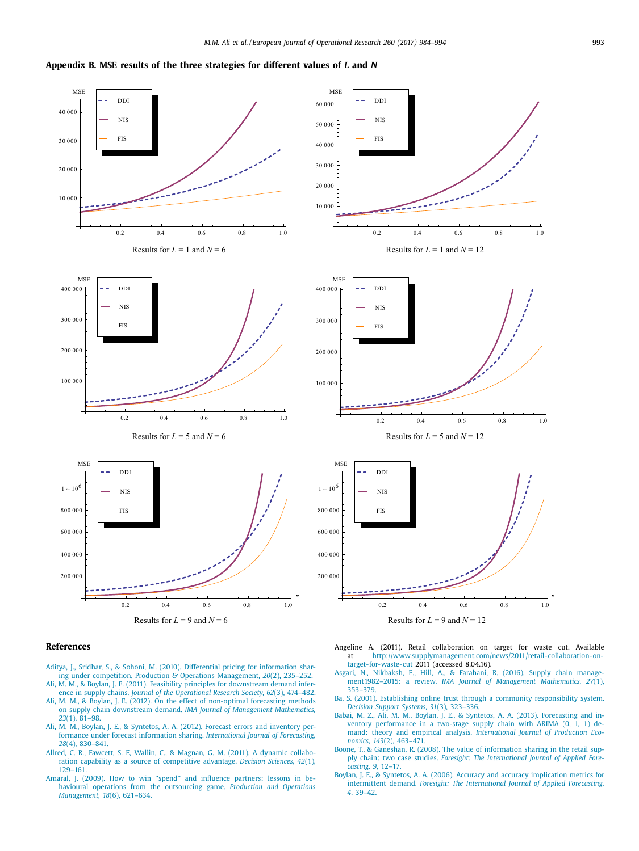<span id="page-10-0"></span>**Appendix B. MSE results of the three strategies for different values of** *L* **and** *N*



#### **References**

- [Aditya,](http://refhub.elsevier.com/S0377-2217(16)30971-7/sbref0001) J., [Sridhar,](http://refhub.elsevier.com/S0377-2217(16)30971-7/sbref0001) S., [&](http://refhub.elsevier.com/S0377-2217(16)30971-7/sbref0001) [Sohoni,](http://refhub.elsevier.com/S0377-2217(16)30971-7/sbref0001) M. (2010). Differential pricing for information sharing under competition. Production *&* Operations [Management](http://refhub.elsevier.com/S0377-2217(16)30971-7/sbref0001)*, 20*(2), 235–252. [Ali,](http://refhub.elsevier.com/S0377-2217(16)30971-7/sbref0002) M. M., [&](http://refhub.elsevier.com/S0377-2217(16)30971-7/sbref0002) [Boylan,](http://refhub.elsevier.com/S0377-2217(16)30971-7/sbref0002) J. E. (2011). Feasibility principles for [downstream](http://refhub.elsevier.com/S0377-2217(16)30971-7/sbref0002) demand infer-
- ence in supply chains. *Journal of the Operational Research Society, 62*(3), 474–482. [Ali,](http://refhub.elsevier.com/S0377-2217(16)30971-7/sbref0003) M. M., [&](http://refhub.elsevier.com/S0377-2217(16)30971-7/sbref0003) [Boylan,](http://refhub.elsevier.com/S0377-2217(16)30971-7/sbref0003) J. E. (2012). On the effect of non-optimal forecasting methods
- on supply chain downstream demand. *IMA Journal of Management [Mathematics,](http://refhub.elsevier.com/S0377-2217(16)30971-7/sbref0003) 23*(1), 81–98.
- [Ali,](http://refhub.elsevier.com/S0377-2217(16)30971-7/sbref0004) M. M., [Boylan,](http://refhub.elsevier.com/S0377-2217(16)30971-7/sbref0004) J. E., [&](http://refhub.elsevier.com/S0377-2217(16)30971-7/sbref0004) [Syntetos,](http://refhub.elsevier.com/S0377-2217(16)30971-7/sbref0004) A. A. (2012). Forecast errors and inventory performance under forecast information sharing. *[International](http://refhub.elsevier.com/S0377-2217(16)30971-7/sbref0004) Journal of Forecasting, 28*(4), 830–841.
- [Allred,](http://refhub.elsevier.com/S0377-2217(16)30971-7/sbref0005) C. R., [Fawcett,](http://refhub.elsevier.com/S0377-2217(16)30971-7/sbref0005) S. E, [Wallin,](http://refhub.elsevier.com/S0377-2217(16)30971-7/sbref0005) C., [&](http://refhub.elsevier.com/S0377-2217(16)30971-7/sbref0005) [Magnan,](http://refhub.elsevier.com/S0377-2217(16)30971-7/sbref0005) G. M. (2011). A dynamic collaboration capability as a source of [competitive](http://refhub.elsevier.com/S0377-2217(16)30971-7/sbref0005) advantage. *Decision Sciences, 42*(1), 129–161.
- [Amaral,](http://refhub.elsevier.com/S0377-2217(16)30971-7/sbref0006) J. (2009). How to win ''spend'' and influence partners: lessons in be-havioural operations from the outsourcing game. *Production and Operations [Management,](http://refhub.elsevier.com/S0377-2217(16)30971-7/sbref0006) 18*(6), 621–634.
- Angeline A. (2011). Retail collaboration on target for waste cut. Available at [http://www.supplymanagement.com/news/2011/retail-collaboration-on](http://www.supplymanagement.com/news/2011/retail-collaboration-on-target-for-waste-cut)target-for-waste-cut 2011 (accessed 8.04.16). [Asgari,](http://refhub.elsevier.com/S0377-2217(16)30971-7/sbref0008) N., [Nikbaksh,](http://refhub.elsevier.com/S0377-2217(16)30971-7/sbref0008) E., [Hill,](http://refhub.elsevier.com/S0377-2217(16)30971-7/sbref0008) A., [&](http://refhub.elsevier.com/S0377-2217(16)30971-7/sbref0008) [Farahani,](http://refhub.elsevier.com/S0377-2217(16)30971-7/sbref0008) R. (2016). Supply chain manage-
- [ment1982–2015:](http://refhub.elsevier.com/S0377-2217(16)30971-7/sbref0008) a review. *IMA Journal of Management Mathematics, 27*(1), 353–379.
- [Ba,](http://refhub.elsevier.com/S0377-2217(16)30971-7/sbref0009) S. (2001). Establishing online trust through a community [responsibility](http://refhub.elsevier.com/S0377-2217(16)30971-7/sbref0009) system. *Decision Support Systems, 31*(3), 323–336.
- [Babai,](http://refhub.elsevier.com/S0377-2217(16)30971-7/sbref0010) M. Z., [Ali,](http://refhub.elsevier.com/S0377-2217(16)30971-7/sbref0010) M. M., [Boylan,](http://refhub.elsevier.com/S0377-2217(16)30971-7/sbref0010) J. E., [&](http://refhub.elsevier.com/S0377-2217(16)30971-7/sbref0010) [Syntetos,](http://refhub.elsevier.com/S0377-2217(16)30971-7/sbref0010) A. A. (2013). Forecasting and inventory [performance](http://refhub.elsevier.com/S0377-2217(16)30971-7/sbref0010) in a two-stage supply chain with ARIMA (0, 1, 1) demand: theory and empirical analysis. *International Journal of Production Eco-nomics, 143*(2), 463–471.
- [Boone,](http://refhub.elsevier.com/S0377-2217(16)30971-7/sbref0011) T., [&](http://refhub.elsevier.com/S0377-2217(16)30971-7/sbref0011) [Ganeshan,](http://refhub.elsevier.com/S0377-2217(16)30971-7/sbref0011) R. (2008). The value of information sharing in the retail supply chain: two case studies. *Foresight: The [International](http://refhub.elsevier.com/S0377-2217(16)30971-7/sbref0011) Journal of Applied Forecasting, 9*, 12–17.
- [Boylan,](http://refhub.elsevier.com/S0377-2217(16)30971-7/sbref0012) J. E., [&](http://refhub.elsevier.com/S0377-2217(16)30971-7/sbref0012) [Syntetos,](http://refhub.elsevier.com/S0377-2217(16)30971-7/sbref0012) A. A. (2006). Accuracy and accuracy implication metrics for intermittent demand. *Foresight: The [International](http://refhub.elsevier.com/S0377-2217(16)30971-7/sbref0012) Journal of Applied Forecasting, 4*, 39–42.